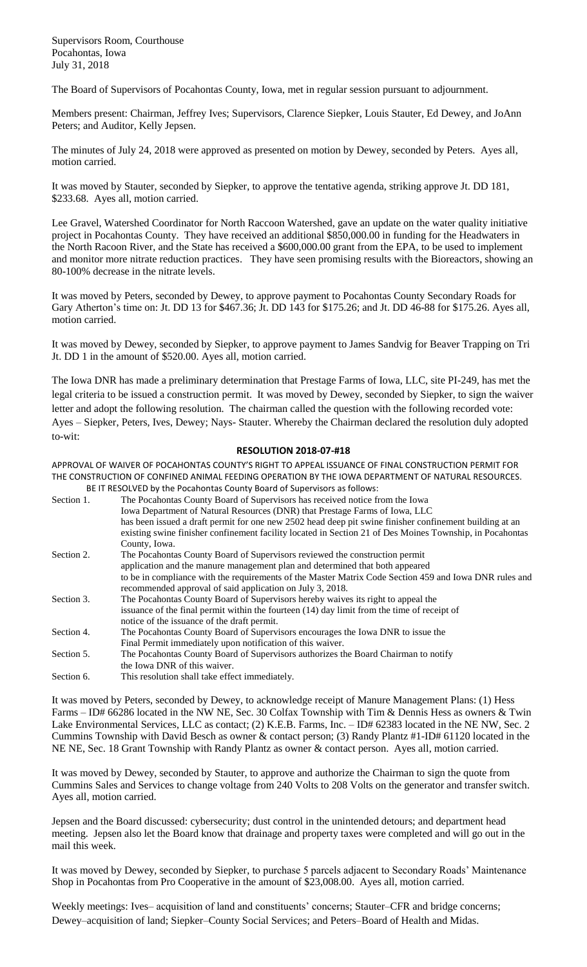Supervisors Room, Courthouse Pocahontas, Iowa July 31, 2018

The Board of Supervisors of Pocahontas County, Iowa, met in regular session pursuant to adjournment.

Members present: Chairman, Jeffrey Ives; Supervisors, Clarence Siepker, Louis Stauter, Ed Dewey, and JoAnn Peters; and Auditor, Kelly Jepsen.

The minutes of July 24, 2018 were approved as presented on motion by Dewey, seconded by Peters. Ayes all, motion carried.

It was moved by Stauter, seconded by Siepker, to approve the tentative agenda, striking approve Jt. DD 181, \$233.68. Ayes all, motion carried.

Lee Gravel, Watershed Coordinator for North Raccoon Watershed, gave an update on the water quality initiative project in Pocahontas County. They have received an additional \$850,000.00 in funding for the Headwaters in the North Racoon River, and the State has received a \$600,000.00 grant from the EPA, to be used to implement and monitor more nitrate reduction practices. They have seen promising results with the Bioreactors, showing an 80-100% decrease in the nitrate levels.

It was moved by Peters, seconded by Dewey, to approve payment to Pocahontas County Secondary Roads for Gary Atherton's time on: Jt. DD 13 for \$467.36; Jt. DD 143 for \$175.26; and Jt. DD 46-88 for \$175.26. Ayes all, motion carried.

It was moved by Dewey, seconded by Siepker, to approve payment to James Sandvig for Beaver Trapping on Tri Jt. DD 1 in the amount of \$520.00. Ayes all, motion carried.

The Iowa DNR has made a preliminary determination that Prestage Farms of Iowa, LLC, site PI-249, has met the legal criteria to be issued a construction permit. It was moved by Dewey, seconded by Siepker, to sign the waiver letter and adopt the following resolution. The chairman called the question with the following recorded vote: Ayes – Siepker, Peters, Ives, Dewey; Nays- Stauter. Whereby the Chairman declared the resolution duly adopted to-wit:

## **RESOLUTION 2018-07-#18**

APPROVAL OF WAIVER OF POCAHONTAS COUNTY'S RIGHT TO APPEAL ISSUANCE OF FINAL CONSTRUCTION PERMIT FOR THE CONSTRUCTION OF CONFINED ANIMAL FEEDING OPERATION BY THE IOWA DEPARTMENT OF NATURAL RESOURCES. BE IT RESOLVED by the Pocahontas County Board of Supervisors as follows:

|            | DE IT REJOLY LD DY THE FOCAHOHTAJ COUHTY DOATU OF JUDELY IJOHJ AJ TOHOWJ.                                |
|------------|----------------------------------------------------------------------------------------------------------|
| Section 1. | The Pocahontas County Board of Supervisors has received notice from the Iowa                             |
|            | Iowa Department of Natural Resources (DNR) that Prestage Farms of Iowa, LLC                              |
|            | has been issued a draft permit for one new 2502 head deep pit swine finisher confinement building at an  |
|            | existing swine finisher confinement facility located in Section 21 of Des Moines Township, in Pocahontas |
|            | County, Iowa.                                                                                            |
| Section 2. | The Pocahontas County Board of Supervisors reviewed the construction permit                              |
|            | application and the manure management plan and determined that both appeared                             |
|            | to be in compliance with the requirements of the Master Matrix Code Section 459 and Iowa DNR rules and   |
|            | recommended approval of said application on July 3, 2018.                                                |
| Section 3. | The Pocahontas County Board of Supervisors hereby waives its right to appeal the                         |
|            | issuance of the final permit within the fourteen (14) day limit from the time of receipt of              |
|            | notice of the issuance of the draft permit.                                                              |
| Section 4. | The Pocahontas County Board of Supervisors encourages the Iowa DNR to issue the                          |
|            | Final Permit immediately upon notification of this waiver.                                               |
| Section 5. | The Pocahontas County Board of Supervisors authorizes the Board Chairman to notify                       |
|            | the Iowa DNR of this waiver.                                                                             |
| Section 6. | This resolution shall take effect immediately.                                                           |

It was moved by Peters, seconded by Dewey, to acknowledge receipt of Manure Management Plans: (1) Hess Farms – ID# 66286 located in the NW NE, Sec. 30 Colfax Township with Tim & Dennis Hess as owners & Twin Lake Environmental Services, LLC as contact; (2) K.E.B. Farms, Inc. – ID# 62383 located in the NE NW, Sec. 2 Cummins Township with David Besch as owner & contact person; (3) Randy Plantz #1-ID# 61120 located in the NE NE, Sec. 18 Grant Township with Randy Plantz as owner & contact person. Ayes all, motion carried.

It was moved by Dewey, seconded by Stauter, to approve and authorize the Chairman to sign the quote from Cummins Sales and Services to change voltage from 240 Volts to 208 Volts on the generator and transfer switch. Ayes all, motion carried.

Jepsen and the Board discussed: cybersecurity; dust control in the unintended detours; and department head meeting. Jepsen also let the Board know that drainage and property taxes were completed and will go out in the mail this week.

It was moved by Dewey, seconded by Siepker, to purchase 5 parcels adjacent to Secondary Roads' Maintenance Shop in Pocahontas from Pro Cooperative in the amount of \$23,008.00. Ayes all, motion carried.

Weekly meetings: Ives– acquisition of land and constituents' concerns; Stauter–CFR and bridge concerns; Dewey–acquisition of land; Siepker–County Social Services; and Peters–Board of Health and Midas.